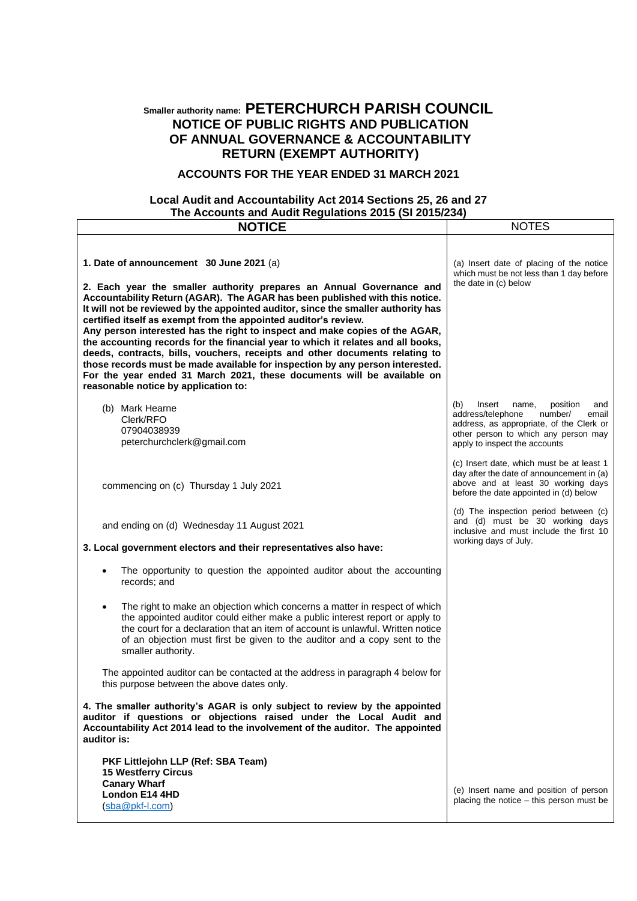## **Smaller authority name: PETERCHURCH PARISH COUNCIL NOTICE OF PUBLIC RIGHTS AND PUBLICATION OF ANNUAL GOVERNANCE & ACCOUNTABILITY RETURN (EXEMPT AUTHORITY)**

## **ACCOUNTS FOR THE YEAR ENDED 31 MARCH 2021**

## **Local Audit and Accountability Act 2014 Sections 25, 26 and 27 The Accounts and Audit Regulations 2015 (SI 2015/234)**

| <b>NOTICE</b>                                                                                                                                                                                                                                                                                                                                                                                                                                                                                                                                                                                                                                                                            | <b>NOTES</b>                                                                                                                                                                                            |
|------------------------------------------------------------------------------------------------------------------------------------------------------------------------------------------------------------------------------------------------------------------------------------------------------------------------------------------------------------------------------------------------------------------------------------------------------------------------------------------------------------------------------------------------------------------------------------------------------------------------------------------------------------------------------------------|---------------------------------------------------------------------------------------------------------------------------------------------------------------------------------------------------------|
| 1. Date of announcement 30 June 2021 (a)<br>2. Each year the smaller authority prepares an Annual Governance and                                                                                                                                                                                                                                                                                                                                                                                                                                                                                                                                                                         | (a) Insert date of placing of the notice<br>which must be not less than 1 day before<br>the date in (c) below                                                                                           |
| Accountability Return (AGAR). The AGAR has been published with this notice.<br>It will not be reviewed by the appointed auditor, since the smaller authority has<br>certified itself as exempt from the appointed auditor's review.<br>Any person interested has the right to inspect and make copies of the AGAR,<br>the accounting records for the financial year to which it relates and all books,<br>deeds, contracts, bills, vouchers, receipts and other documents relating to<br>those records must be made available for inspection by any person interested.<br>For the year ended 31 March 2021, these documents will be available on<br>reasonable notice by application to: |                                                                                                                                                                                                         |
| (b) Mark Hearne<br>Clerk/RFO<br>07904038939<br>peterchurchclerk@gmail.com                                                                                                                                                                                                                                                                                                                                                                                                                                                                                                                                                                                                                | (b)<br>Insert<br>position<br>name,<br>and<br>address/telephone<br>number/<br>email<br>address, as appropriate, of the Clerk or<br>other person to which any person may<br>apply to inspect the accounts |
| commencing on (c) Thursday 1 July 2021                                                                                                                                                                                                                                                                                                                                                                                                                                                                                                                                                                                                                                                   | (c) Insert date, which must be at least 1<br>day after the date of announcement in (a)<br>above and at least 30 working days<br>before the date appointed in (d) below                                  |
| and ending on (d) Wednesday 11 August 2021<br>3. Local government electors and their representatives also have:                                                                                                                                                                                                                                                                                                                                                                                                                                                                                                                                                                          | (d) The inspection period between (c)<br>and (d) must be 30 working days<br>inclusive and must include the first 10<br>working days of July.                                                            |
| The opportunity to question the appointed auditor about the accounting<br>records; and                                                                                                                                                                                                                                                                                                                                                                                                                                                                                                                                                                                                   |                                                                                                                                                                                                         |
| The right to make an objection which concerns a matter in respect of which<br>$\bullet$<br>the appointed auditor could either make a public interest report or apply to<br>the court for a declaration that an item of account is unlawful. Written notice<br>of an objection must first be given to the auditor and a copy sent to the<br>smaller authority.                                                                                                                                                                                                                                                                                                                            |                                                                                                                                                                                                         |
| The appointed auditor can be contacted at the address in paragraph 4 below for<br>this purpose between the above dates only.                                                                                                                                                                                                                                                                                                                                                                                                                                                                                                                                                             |                                                                                                                                                                                                         |
| 4. The smaller authority's AGAR is only subject to review by the appointed<br>auditor if questions or objections raised under the Local Audit and<br>Accountability Act 2014 lead to the involvement of the auditor. The appointed<br>auditor is:                                                                                                                                                                                                                                                                                                                                                                                                                                        |                                                                                                                                                                                                         |
| PKF Littlejohn LLP (Ref: SBA Team)<br>15 Westferry Circus<br><b>Canary Wharf</b>                                                                                                                                                                                                                                                                                                                                                                                                                                                                                                                                                                                                         |                                                                                                                                                                                                         |
| London E14 4HD<br>(sba@pkf-l.com)                                                                                                                                                                                                                                                                                                                                                                                                                                                                                                                                                                                                                                                        | (e) Insert name and position of person<br>placing the notice – this person must be                                                                                                                      |